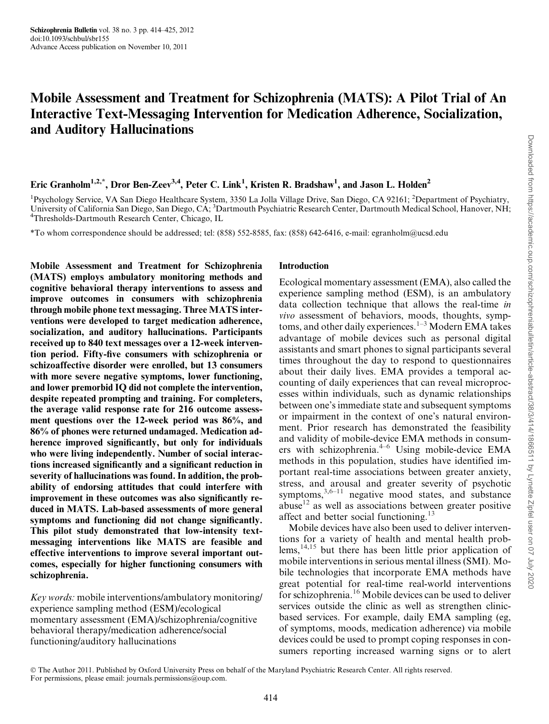# Mobile Assessment and Treatment for Schizophrenia (MATS): A Pilot Trial of An Interactive Text-Messaging Intervention for Medication Adherence, Socialization, and Auditory Hallucinations

# Eric Granholm<sup>1,2,\*</sup>, Dror Ben-Zeev<sup>3,4</sup>, Peter C. Link<sup>1</sup>, Kristen R. Bradshaw<sup>1</sup>, and Jason L. Holden<sup>2</sup>

<sup>1</sup>Psychology Service, VA San Diego Healthcare System, 3350 La Jolla Village Drive, San Diego, CA 92161; <sup>2</sup>Department of Psychiatry, University of California San Diego, San Diego, CA; <sup>3</sup>Dartmouth Psychiatric Research Center, Dartmouth Medical School, Hanover, NH;<br><sup>4</sup>Thresholds Dartmouth Bessarsh Center, Chieggo, H <sup>4</sup>Thresholds-Dartmouth Research Center, Chicago, IL

\*To whom correspondence should be addressed; tel: (858) 552-8585, fax: (858) 642-6416, e-mail: egranholm@ucsd.edu

Mobile Assessment and Treatment for Schizophrenia (MATS) employs ambulatory monitoring methods and cognitive behavioral therapy interventions to assess and improve outcomes in consumers with schizophrenia through mobile phone text messaging. Three MATS interventions were developed to target medication adherence, socialization, and auditory hallucinations. Participants received up to 840 text messages over a 12-week intervention period. Fifty-five consumers with schizophrenia or schizoaffective disorder were enrolled, but 13 consumers with more severe negative symptoms, lower functioning, and lower premorbid IQ did not complete the intervention, despite repeated prompting and training. For completers, the average valid response rate for 216 outcome assessment questions over the 12-week period was 86%, and 86% of phones were returned undamaged. Medication adherence improved significantly, but only for individuals who were living independently. Number of social interactions increased significantly and a significant reduction in severity of hallucinations was found. In addition, the probability of endorsing attitudes that could interfere with improvement in these outcomes was also significantly reduced in MATS. Lab-based assessments of more general symptoms and functioning did not change significantly. This pilot study demonstrated that low-intensity textmessaging interventions like MATS are feasible and effective interventions to improve several important outcomes, especially for higher functioning consumers with schizophrenia.

Key words: mobile interventions/ambulatory monitoring/ experience sampling method (ESM)/ecological momentary assessment (EMA)/schizophrenia/cognitive behavioral therapy/medication adherence/social functioning/auditory hallucinations

#### Introduction

Ecological momentary assessment (EMA), also called the experience sampling method (ESM), is an ambulatory data collection technique that allows the real-time in vivo assessment of behaviors, moods, thoughts, symp-toms, and other daily experiences.<sup>[1–3](#page-10-0)</sup> Modern EMA takes advantage of mobile devices such as personal digital assistants and smart phones to signal participants several times throughout the day to respond to questionnaires about their daily lives. EMA provides a temporal accounting of daily experiences that can reveal microprocesses within individuals, such as dynamic relationships between one's immediate state and subsequent symptoms or impairment in the context of one's natural environment. Prior research has demonstrated the feasibility and validity of mobile-device EMA methods in consumers with schizophrenia. $4-6$  Using mobile-device EMA methods in this population, studies have identified important real-time associations between greater anxiety, stress, and arousal and greater severity of psychotic symptoms, $3,6-11$  negative mood states, and substance abuse<sup>12</sup> as well as associations between greater positive affect and better social functioning.[13](#page-10-0)

Mobile devices have also been used to deliver interventions for a variety of health and mental health prob $lems$ ,  $14,15$  but there has been little prior application of mobile interventions in serious mental illness (SMI). Mobile technologies that incorporate EMA methods have great potential for real-time real-world interventions for schizophrenia.[16](#page-10-0) Mobile devices can be used to deliver services outside the clinic as well as strengthen clinicbased services. For example, daily EMA sampling (eg, of symptoms, moods, medication adherence) via mobile devices could be used to prompt coping responses in consumers reporting increased warning signs or to alert

The Author 2011. Published by Oxford University Press on behalf of the Maryland Psychiatric Research Center. All rights reserved. For permissions, please email: journals.permissions@oup.com.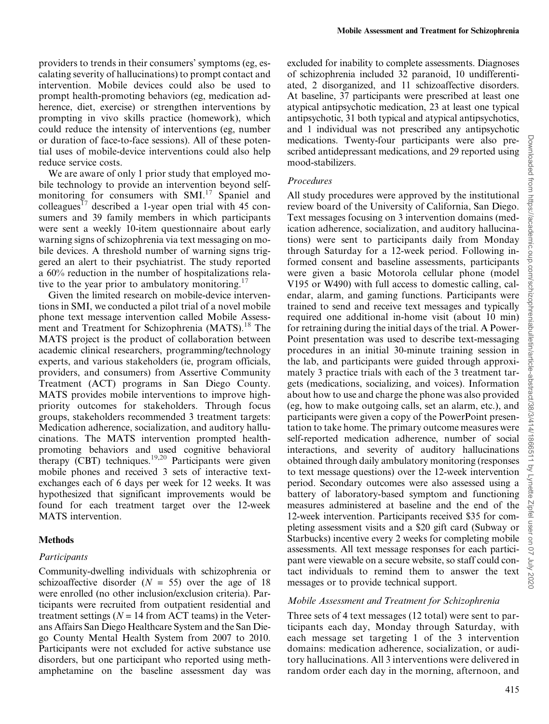providers to trends in their consumers' symptoms (eg, escalating severity of hallucinations) to prompt contact and intervention. Mobile devices could also be used to prompt health-promoting behaviors (eg, medication adherence, diet, exercise) or strengthen interventions by prompting in vivo skills practice (homework), which could reduce the intensity of interventions (eg, number or duration of face-to-face sessions). All of these potential uses of mobile-device interventions could also help reduce service costs.

We are aware of only 1 prior study that employed mobile technology to provide an intervention beyond selfmonitoring for consumers with  $SMI$ .<sup>[17](#page-10-0)</sup> Spaniel and colleagues<sup>[17](#page-10-0)</sup> described a 1-year open trial with 45 consumers and 39 family members in which participants were sent a weekly 10-item questionnaire about early warning signs of schizophrenia via text messaging on mobile devices. A threshold number of warning signs triggered an alert to their psychiatrist. The study reported a 60% reduction in the number of hospitalizations rela-tive to the year prior to ambulatory monitoring.<sup>[17](#page-10-0)</sup>

Given the limited research on mobile-device interventions in SMI, we conducted a pilot trial of a novel mobile phone text message intervention called Mobile Assess-ment and Treatment for Schizophrenia (MATS).<sup>[18](#page-10-0)</sup> The MATS project is the product of collaboration between academic clinical researchers, programming/technology experts, and various stakeholders (ie, program officials, providers, and consumers) from Assertive Community Treatment (ACT) programs in San Diego County. MATS provides mobile interventions to improve highpriority outcomes for stakeholders. Through focus groups, stakeholders recommended 3 treatment targets: Medication adherence, socialization, and auditory hallucinations. The MATS intervention prompted healthpromoting behaviors and used cognitive behavioral therapy  $\text{(\text{CBT})}$  techniques.<sup>19,20</sup> Participants were given mobile phones and received 3 sets of interactive textexchanges each of 6 days per week for 12 weeks. It was hypothesized that significant improvements would be found for each treatment target over the 12-week MATS intervention.

#### Methods

#### Participants

Community-dwelling individuals with schizophrenia or schizoaffective disorder  $(N = 55)$  over the age of 18 were enrolled (no other inclusion/exclusion criteria). Participants were recruited from outpatient residential and treatment settings ( $N = 14$  from ACT teams) in the Veterans Affairs San Diego Healthcare System and the San Diego County Mental Health System from 2007 to 2010. Participants were not excluded for active substance use disorders, but one participant who reported using methamphetamine on the baseline assessment day was excluded for inability to complete assessments. Diagnoses of schizophrenia included 32 paranoid, 10 undifferentiated, 2 disorganized, and 11 schizoaffective disorders. At baseline, 37 participants were prescribed at least one atypical antipsychotic medication, 23 at least one typical antipsychotic, 31 both typical and atypical antipsychotics, and 1 individual was not prescribed any antipsychotic medications. Twenty-four participants were also prescribed antidepressant medications, and 29 reported using mood-stabilizers.

## Procedures

All study procedures were approved by the institutional review board of the University of California, San Diego. Text messages focusing on 3 intervention domains (medication adherence, socialization, and auditory hallucinations) were sent to participants daily from Monday through Saturday for a 12-week period. Following informed consent and baseline assessments, participants were given a basic Motorola cellular phone (model V195 or W490) with full access to domestic calling, calendar, alarm, and gaming functions. Participants were trained to send and receive text messages and typically required one additional in-home visit (about 10 min) for retraining during the initial days of the trial. A Power-Point presentation was used to describe text-messaging procedures in an initial 30-minute training session in the lab, and participants were guided through approximately 3 practice trials with each of the 3 treatment targets (medications, socializing, and voices). Information about how to use and charge the phone was also provided (eg, how to make outgoing calls, set an alarm, etc.), and participants were given a copy of the PowerPoint presentation to take home. The primary outcome measures were self-reported medication adherence, number of social interactions, and severity of auditory hallucinations obtained through daily ambulatory monitoring (responses to text message questions) over the 12-week intervention period. Secondary outcomes were also assessed using a battery of laboratory-based symptom and functioning measures administered at baseline and the end of the 12-week intervention. Participants received \$35 for completing assessment visits and a \$20 gift card (Subway or Starbucks) incentive every 2 weeks for completing mobile assessments. All text message responses for each participant were viewable on a secure website, so staff could contact individuals to remind them to answer the text messages or to provide technical support.

#### Mobile Assessment and Treatment for Schizophrenia

Three sets of 4 text messages (12 total) were sent to participants each day, Monday through Saturday, with each message set targeting 1 of the 3 intervention domains: medication adherence, socialization, or auditory hallucinations. All 3 interventions were delivered in random order each day in the morning, afternoon, and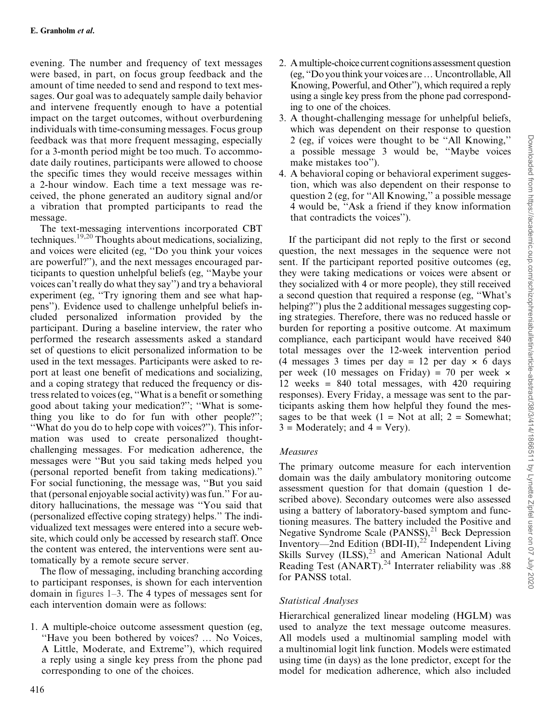evening. The number and frequency of text messages were based, in part, on focus group feedback and the amount of time needed to send and respond to text messages. Our goal was to adequately sample daily behavior and intervene frequently enough to have a potential impact on the target outcomes, without overburdening individuals with time-consuming messages. Focus group feedback was that more frequent messaging, especially for a 3-month period might be too much. To accommodate daily routines, participants were allowed to choose the specific times they would receive messages within a 2-hour window. Each time a text message was received, the phone generated an auditory signal and/or a vibration that prompted participants to read the message.

The text-messaging interventions incorporated CBT techniques.[19,20](#page-10-0) Thoughts about medications, socializing, and voices were elicited (eg, ''Do you think your voices are powerful?''), and the next messages encouraged participants to question unhelpful beliefs (eg, ''Maybe your voices can't really do what they say'') and try a behavioral experiment (eg, ''Try ignoring them and see what happens''). Evidence used to challenge unhelpful beliefs included personalized information provided by the participant. During a baseline interview, the rater who performed the research assessments asked a standard set of questions to elicit personalized information to be used in the text messages. Participants were asked to report at least one benefit of medications and socializing, and a coping strategy that reduced the frequency or distress related to voices (eg, ''What is a benefit or something good about taking your medication?''; ''What is something you like to do for fun with other people?''; ''What do you do to help cope with voices?''). This information was used to create personalized thoughtchallenging messages. For medication adherence, the messages were ''But you said taking meds helped you (personal reported benefit from taking medications).'' For social functioning, the message was, ''But you said that (personal enjoyable social activity) was fun.'' For auditory hallucinations, the message was ''You said that (personalized effective coping strategy) helps.'' The individualized text messages were entered into a secure website, which could only be accessed by research staff. Once the content was entered, the interventions were sent automatically by a remote secure server.

The flow of messaging, including branching according to participant responses, is shown for each intervention domain in [figures 1–3](#page-3-0). The 4 types of messages sent for each intervention domain were as follows:

1. A multiple-choice outcome assessment question (eg, "Have you been bothered by voices? ... No Voices, A Little, Moderate, and Extreme''), which required a reply using a single key press from the phone pad corresponding to one of the choices.

- 2. A multiple-choice current cognitions assessment question (eg, "Do you think your voices are ... Uncontrollable, All Knowing, Powerful, and Other''), which required a reply using a single key press from the phone pad corresponding to one of the choices.
- 3. A thought-challenging message for unhelpful beliefs, which was dependent on their response to question 2 (eg, if voices were thought to be ''All Knowing,'' a possible message 3 would be, ''Maybe voices make mistakes too'').
- 4. A behavioral coping or behavioral experiment suggestion, which was also dependent on their response to question 2 (eg, for ''All Knowing,'' a possible message 4 would be, ''Ask a friend if they know information that contradicts the voices'').

If the participant did not reply to the first or second question, the next messages in the sequence were not sent. If the participant reported positive outcomes (eg, they were taking medications or voices were absent or they socialized with 4 or more people), they still received a second question that required a response (eg, ''What's helping?") plus the 2 additional messages suggesting coping strategies. Therefore, there was no reduced hassle or burden for reporting a positive outcome. At maximum compliance, each participant would have received 840 total messages over the 12-week intervention period (4 messages 3 times per day  $= 12$  per day  $\times$  6 days per week (10 messages on Friday) = 70 per week  $\times$ 12 weeks = 840 total messages, with 420 requiring responses). Every Friday, a message was sent to the participants asking them how helpful they found the messages to be that week  $(1 = Not at all; 2 = Somewhat;$  $3$  = Moderately; and  $4$  = Very).

# Measures

The primary outcome measure for each intervention domain was the daily ambulatory monitoring outcome assessment question for that domain (question 1 described above). Secondary outcomes were also assessed using a battery of laboratory-based symptom and functioning measures. The battery included the Positive and Negative Syndrome Scale  $(PANSS)$ ,<sup>[21](#page-10-0)</sup> Beck Depression Inventory—2nd Edition  $(BDI-II)$ ,<sup>[22](#page-11-0)</sup> Independent Living Skills Survey  $(ILSS)$ ,<sup>[23](#page-11-0)</sup> and American National Adult Reading Test  $(ANART).^{24}$  Interrater reliability was .88 for PANSS total.

## Statistical Analyses

Hierarchical generalized linear modeling (HGLM) was used to analyze the text message outcome measures. All models used a multinomial sampling model with a multinomial logit link function. Models were estimated using time (in days) as the lone predictor, except for the model for medication adherence, which also included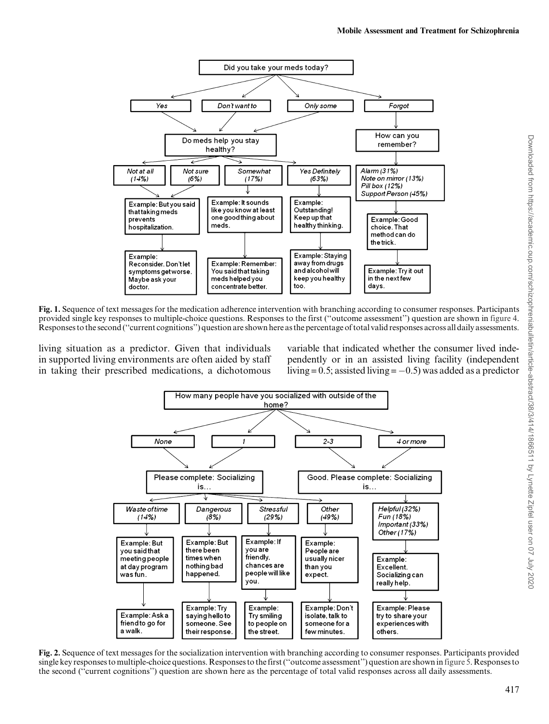<span id="page-3-0"></span>

Fig. 1. Sequence of text messages for the medication adherence intervention with branching according to consumer responses. Participants provided single key responses to multiple-choice questions. Responses to the first (''outcome assessment'') question are shown in [figure 4](#page-7-0). Responses to the second (''current cognitions'') question are shown here as the percentage of total valid responses across all daily assessments.

living situation as a predictor. Given that individuals in supported living environments are often aided by staff in taking their prescribed medications, a dichotomous variable that indicated whether the consumer lived independently or in an assisted living facility (independent living =  $0.5$ ; assisted living =  $-0.5$ ) was added as a predictor



Fig. 2. Sequence of text messages for the socialization intervention with branching according to consumer responses. Participants provided single key responses to multiple-choice questions. Responses to the first (''outcome assessment'') question are shown in [figure 5.](#page-8-0) Responses to the second (''current cognitions'') question are shown here as the percentage of total valid responses across all daily assessments.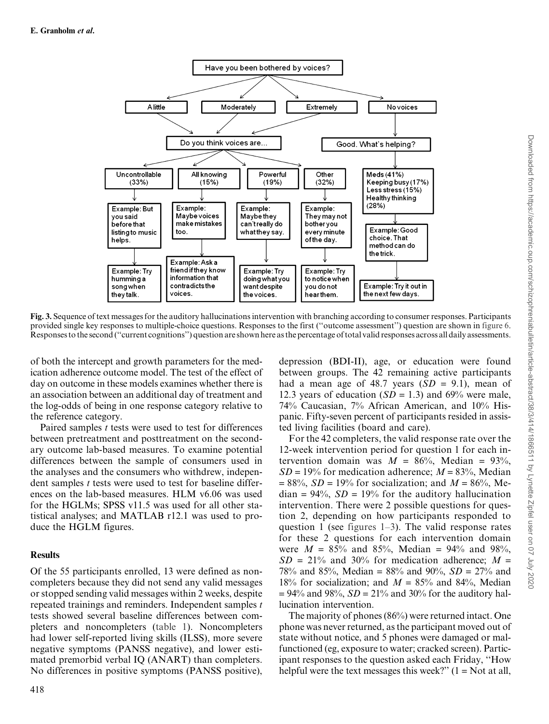

Fig. 3. Sequence of text messages for the auditory hallucinations intervention with branching according to consumer responses. Participants provided single key responses to multiple-choice questions. Responses to the first (''outcome assessment'') question are shown in [figure 6](#page-8-0). Responses to the second (''current cognitions'') question are shown here as the percentage of total valid responses across all daily assessments.

of both the intercept and growth parameters for the medication adherence outcome model. The test of the effect of day on outcome in these models examines whether there is an association between an additional day of treatment and the log-odds of being in one response category relative to the reference category.

Paired samples  $t$  tests were used to test for differences between pretreatment and posttreatment on the secondary outcome lab-based measures. To examine potential differences between the sample of consumers used in the analyses and the consumers who withdrew, independent samples *t* tests were used to test for baseline differences on the lab-based measures. HLM v6.06 was used for the HGLMs; SPSS v11.5 was used for all other statistical analyses; and MATLAB r12.1 was used to produce the HGLM figures.

## Results

Of the 55 participants enrolled, 13 were defined as noncompleters because they did not send any valid messages or stopped sending valid messages within 2 weeks, despite repeated trainings and reminders. Independent samples t tests showed several baseline differences between completers and noncompleters [\(table 1](#page-5-0)). Noncompleters had lower self-reported living skills (ILSS), more severe negative symptoms (PANSS negative), and lower estimated premorbid verbal IQ (ANART) than completers. No differences in positive symptoms (PANSS positive),

depression (BDI-II), age, or education were found between groups. The 42 remaining active participants had a mean age of 48.7 years  $(SD = 9.1)$ , mean of 12.3 years of education  $(SD = 1.3)$  and 69% were male, 74% Caucasian, 7% African American, and 10% Hispanic. Fifty-seven percent of participants resided in assisted living facilities (board and care).

For the 42 completers, the valid response rate over the 12-week intervention period for question 1 for each intervention domain was  $M = 86\%$ , Median = 93%,  $SD = 19\%$  for medication adherence;  $M = 83\%$ , Median  $= 88\%, SD = 19\%$  for socialization; and  $M = 86\%,$  Me $dian = 94\%, SD = 19\%$  for the auditory hallucination intervention. There were 2 possible questions for question 2, depending on how participants responded to question 1 (see [figures 1–3\)](#page-3-0). The valid response rates for these 2 questions for each intervention domain were  $M = 85\%$  and 85%, Median = 94% and 98%,  $SD = 21\%$  and 30% for medication adherence;  $M =$ 78% and 85%, Median = 88% and 90%,  $SD = 27\%$  and 18% for socialization; and  $M = 85%$  and 84%, Median  $= 94\%$  and 98%,  $SD = 21\%$  and 30% for the auditory hallucination intervention.

The majority of phones (86%) were returned intact. One phone was never returned, as the participant moved out of state without notice, and 5 phones were damaged or malfunctioned (eg, exposure to water; cracked screen). Participant responses to the question asked each Friday, ''How helpful were the text messages this week?"  $(1 = Not at all,$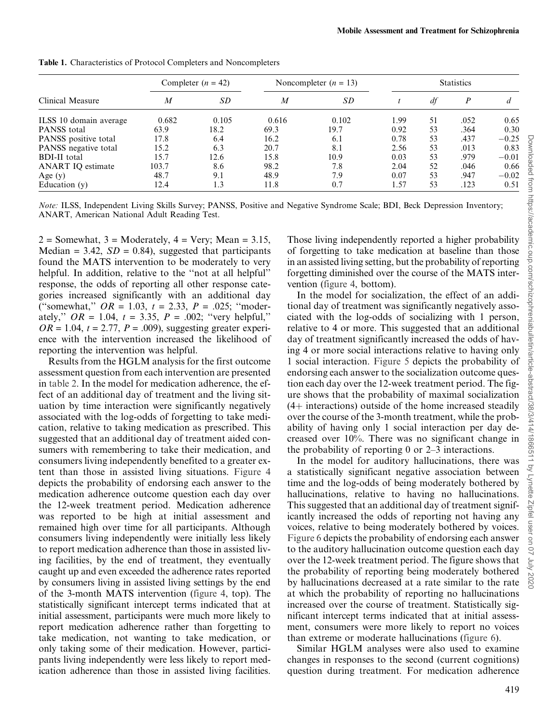| Clinical Measure         | Completer $(n = 42)$ |           | Noncompleter $(n = 13)$ |       | <b>Statistics</b> |    |      |         |
|--------------------------|----------------------|-----------|-------------------------|-------|-------------------|----|------|---------|
|                          | $\boldsymbol{M}$     | <i>SD</i> | $\boldsymbol{M}$        | SD    |                   | df | P    | d       |
| ILSS 10 domain average   | 0.682                | 0.105     | 0.616                   | 0.102 | 1.99              | 51 | .052 | 0.65    |
| PANSS total              | 63.9                 | 18.2      | 69.3                    | 19.7  | 0.92              | 53 | .364 | 0.30    |
| PANSS positive total     | 17.8                 | 6.4       | 16.2                    | 6.1   | 0.78              | 53 | .437 | $-0.25$ |
| PANSS negative total     | 15.2                 | 6.3       | 20.7                    | 8.1   | 2.56              | 53 | .013 | 0.83    |
| <b>BDI-II</b> total      | 15.7                 | 12.6      | 15.8                    | 10.9  | 0.03              | 53 | .979 | $-0.01$ |
| <b>ANART IQ estimate</b> | 103.7                | 8.6       | 98.2                    | 7.8   | 2.04              | 52 | .046 | 0.66    |
| Age $(y)$                | 48.7                 | 9.1       | 48.9                    | 7.9   | 0.07              | 53 | .947 | $-0.02$ |
| Education $(v)$          | 12.4                 | 1.3       | 11.8                    | 0.7   | 1.57              | 53 | .123 | 0.51    |

<span id="page-5-0"></span>Table 1. Characteristics of Protocol Completers and Noncompleters

Note: ILSS, Independent Living Skills Survey; PANSS, Positive and Negative Syndrome Scale; BDI, Beck Depression Inventory; ANART, American National Adult Reading Test.

 $2 =$  Somewhat,  $3 =$  Moderately,  $4 =$  Very; Mean = 3.15, Median = 3.42,  $SD = 0.84$ ), suggested that participants found the MATS intervention to be moderately to very helpful. In addition, relative to the "not at all helpful" response, the odds of reporting all other response categories increased significantly with an additional day ("somewhat,"  $OR = 1.03$ ,  $t = 2.33$ ,  $P = .025$ ; "moderately,"  $OR = 1.04$ ,  $t = 3.35$ ,  $P = .002$ ; "very helpful,"  $OR = 1.04$ ,  $t = 2.77$ ,  $P = .009$ ), suggesting greater experience with the intervention increased the likelihood of reporting the intervention was helpful.

Results from the HGLM analysis for the first outcome assessment question from each intervention are presented in [table 2.](#page-6-0) In the model for medication adherence, the effect of an additional day of treatment and the living situation by time interaction were significantly negatively associated with the log-odds of forgetting to take medication, relative to taking medication as prescribed. This suggested that an additional day of treatment aided consumers with remembering to take their medication, and consumers living independently benefited to a greater extent than those in assisted living situations. [Figure 4](#page-7-0) depicts the probability of endorsing each answer to the medication adherence outcome question each day over the 12-week treatment period. Medication adherence was reported to be high at initial assessment and remained high over time for all participants. Although consumers living independently were initially less likely to report medication adherence than those in assisted living facilities, by the end of treatment, they eventually caught up and even exceeded the adherence rates reported by consumers living in assisted living settings by the end of the 3-month MATS intervention [\(figure 4,](#page-7-0) top). The statistically significant intercept terms indicated that at initial assessment, participants were much more likely to report medication adherence rather than forgetting to take medication, not wanting to take medication, or only taking some of their medication. However, participants living independently were less likely to report medication adherence than those in assisted living facilities.

Those living independently reported a higher probability of forgetting to take medication at baseline than those in an assisted living setting, but the probability of reporting forgetting diminished over the course of the MATS intervention [\(figure 4](#page-7-0), bottom).

In the model for socialization, the effect of an additional day of treatment was significantly negatively associated with the log-odds of socializing with 1 person, relative to 4 or more. This suggested that an additional day of treatment significantly increased the odds of having 4 or more social interactions relative to having only 1 social interaction. [Figure 5](#page-8-0) depicts the probability of endorsing each answer to the socialization outcome question each day over the 12-week treatment period. The figure shows that the probability of maximal socialization  $(4+$  interactions) outside of the home increased steadily over the course of the 3-month treatment, while the probability of having only 1 social interaction per day decreased over 10%. There was no significant change in the probability of reporting 0 or 2–3 interactions.

In the model for auditory hallucinations, there was a statistically significant negative association between time and the log-odds of being moderately bothered by hallucinations, relative to having no hallucinations. This suggested that an additional day of treatment significantly increased the odds of reporting not having any voices, relative to being moderately bothered by voices. [Figure 6](#page-8-0) depicts the probability of endorsing each answer to the auditory hallucination outcome question each day over the 12-week treatment period. The figure shows that the probability of reporting being moderately bothered by hallucinations decreased at a rate similar to the rate at which the probability of reporting no hallucinations increased over the course of treatment. Statistically significant intercept terms indicated that at initial assessment, consumers were more likely to report no voices than extreme or moderate hallucinations ([figure 6](#page-8-0)).

Similar HGLM analyses were also used to examine changes in responses to the second (current cognitions) question during treatment. For medication adherence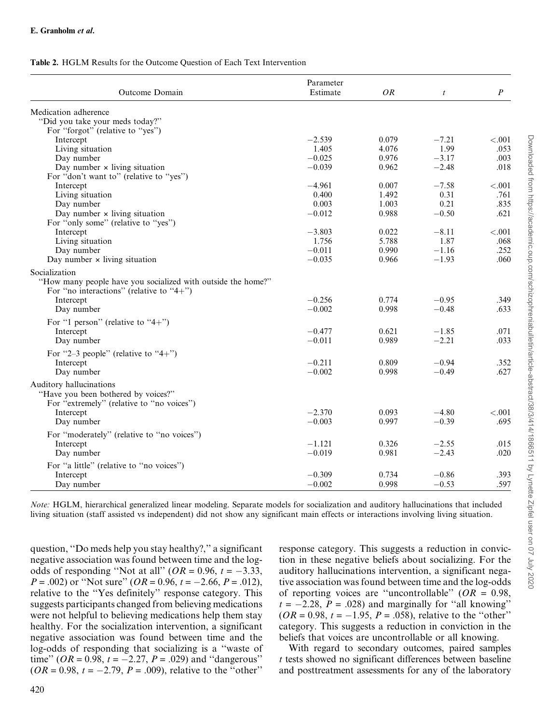## <span id="page-6-0"></span>Table 2. HGLM Results for the Outcome Question of Each Text Intervention

| Medication adherence<br>"Did you take your meds today?"<br>For "forgot" (relative to "yes")<br>$-2.539$<br>0.079<br>$-7.21$<br>< .001<br>Intercept<br>1.99<br>Living situation<br>1.405<br>4.076<br>.053<br>$-0.025$<br>0.976<br>$-3.17$<br>Day number<br>.003<br>Day number $\times$ living situation<br>$-0.039$<br>$-2.48$<br>0.962<br>.018<br>For "don't want to" (relative to "yes")<br>$-4.961$<br>$-7.58$<br>0.007<br>< .001<br>Intercept<br>0.31<br>Living situation<br>0.400<br>1.492<br>.761<br>0.21<br>.835<br>Day number<br>0.003<br>1.003<br>$-0.50$<br>Day number $\times$ living situation<br>$-0.012$<br>0.988<br>.621<br>For "only some" (relative to "yes")<br>$-8.11$<br>Intercept<br>$-3.803$<br>0.022<br>${<}.001$<br>Living situation<br>1.756<br>5.788<br>1.87<br>.068<br>$-1.16$<br>Day number<br>$-0.011$<br>0.990<br>.252<br>Day number $\times$ living situation<br>$-1.93$<br>.060<br>$-0.035$<br>0.966<br>"How many people have you socialized with outside the home?"<br>For "no interactions" (relative to "4+")<br>0.774<br>$-0.256$<br>$-0.95$<br>.349<br>Intercept<br>$-0.002$<br>0.998<br>$-0.48$<br>Day number<br>.633<br>For "1 person" (relative to "4+")<br>Intercept<br>$-0.477$<br>0.621<br>$-1.85$<br>.071<br>$-2.21$<br>Day number<br>$-0.011$<br>0.989<br>.033<br>For "2-3 people" (relative to "4+")<br>$-0.211$<br>Intercept<br>0.809<br>$-0.94$<br>.352<br>Day number<br>$-0.002$<br>0.998<br>$-0.49$<br>.627<br>"Have you been bothered by voices?"<br>For "extremely" (relative to "no voices")<br>$-2.370$<br>0.093<br>$-4.80$<br>< .001<br>Intercept<br>$-0.39$<br>Day number<br>$-0.003$<br>0.997<br>.695<br>For "moderately" (relative to "no voices")<br>Intercept<br>$-1.121$<br>0.326<br>$-2.55$<br>.015<br>0.981<br>$-2.43$<br>Day number<br>$-0.019$<br>.020<br>For "a little" (relative to "no voices")<br>$-0.86$<br>Intercept<br>$-0.309$<br>0.734<br>.393 | Outcome Domain          | Parameter<br>Estimate | OR    | $\mathfrak{t}$ | $\boldsymbol{P}$ |
|-------------------------------------------------------------------------------------------------------------------------------------------------------------------------------------------------------------------------------------------------------------------------------------------------------------------------------------------------------------------------------------------------------------------------------------------------------------------------------------------------------------------------------------------------------------------------------------------------------------------------------------------------------------------------------------------------------------------------------------------------------------------------------------------------------------------------------------------------------------------------------------------------------------------------------------------------------------------------------------------------------------------------------------------------------------------------------------------------------------------------------------------------------------------------------------------------------------------------------------------------------------------------------------------------------------------------------------------------------------------------------------------------------------------------------------------------------------------------------------------------------------------------------------------------------------------------------------------------------------------------------------------------------------------------------------------------------------------------------------------------------------------------------------------------------------------------------------------------------------------------------------------------------------------------|-------------------------|-----------------------|-------|----------------|------------------|
|                                                                                                                                                                                                                                                                                                                                                                                                                                                                                                                                                                                                                                                                                                                                                                                                                                                                                                                                                                                                                                                                                                                                                                                                                                                                                                                                                                                                                                                                                                                                                                                                                                                                                                                                                                                                                                                                                                                         |                         |                       |       |                |                  |
|                                                                                                                                                                                                                                                                                                                                                                                                                                                                                                                                                                                                                                                                                                                                                                                                                                                                                                                                                                                                                                                                                                                                                                                                                                                                                                                                                                                                                                                                                                                                                                                                                                                                                                                                                                                                                                                                                                                         |                         |                       |       |                |                  |
|                                                                                                                                                                                                                                                                                                                                                                                                                                                                                                                                                                                                                                                                                                                                                                                                                                                                                                                                                                                                                                                                                                                                                                                                                                                                                                                                                                                                                                                                                                                                                                                                                                                                                                                                                                                                                                                                                                                         |                         |                       |       |                |                  |
|                                                                                                                                                                                                                                                                                                                                                                                                                                                                                                                                                                                                                                                                                                                                                                                                                                                                                                                                                                                                                                                                                                                                                                                                                                                                                                                                                                                                                                                                                                                                                                                                                                                                                                                                                                                                                                                                                                                         |                         |                       |       |                |                  |
|                                                                                                                                                                                                                                                                                                                                                                                                                                                                                                                                                                                                                                                                                                                                                                                                                                                                                                                                                                                                                                                                                                                                                                                                                                                                                                                                                                                                                                                                                                                                                                                                                                                                                                                                                                                                                                                                                                                         |                         |                       |       |                |                  |
|                                                                                                                                                                                                                                                                                                                                                                                                                                                                                                                                                                                                                                                                                                                                                                                                                                                                                                                                                                                                                                                                                                                                                                                                                                                                                                                                                                                                                                                                                                                                                                                                                                                                                                                                                                                                                                                                                                                         |                         |                       |       |                |                  |
|                                                                                                                                                                                                                                                                                                                                                                                                                                                                                                                                                                                                                                                                                                                                                                                                                                                                                                                                                                                                                                                                                                                                                                                                                                                                                                                                                                                                                                                                                                                                                                                                                                                                                                                                                                                                                                                                                                                         |                         |                       |       |                |                  |
|                                                                                                                                                                                                                                                                                                                                                                                                                                                                                                                                                                                                                                                                                                                                                                                                                                                                                                                                                                                                                                                                                                                                                                                                                                                                                                                                                                                                                                                                                                                                                                                                                                                                                                                                                                                                                                                                                                                         |                         |                       |       |                |                  |
|                                                                                                                                                                                                                                                                                                                                                                                                                                                                                                                                                                                                                                                                                                                                                                                                                                                                                                                                                                                                                                                                                                                                                                                                                                                                                                                                                                                                                                                                                                                                                                                                                                                                                                                                                                                                                                                                                                                         |                         |                       |       |                |                  |
|                                                                                                                                                                                                                                                                                                                                                                                                                                                                                                                                                                                                                                                                                                                                                                                                                                                                                                                                                                                                                                                                                                                                                                                                                                                                                                                                                                                                                                                                                                                                                                                                                                                                                                                                                                                                                                                                                                                         |                         |                       |       |                |                  |
|                                                                                                                                                                                                                                                                                                                                                                                                                                                                                                                                                                                                                                                                                                                                                                                                                                                                                                                                                                                                                                                                                                                                                                                                                                                                                                                                                                                                                                                                                                                                                                                                                                                                                                                                                                                                                                                                                                                         |                         |                       |       |                |                  |
|                                                                                                                                                                                                                                                                                                                                                                                                                                                                                                                                                                                                                                                                                                                                                                                                                                                                                                                                                                                                                                                                                                                                                                                                                                                                                                                                                                                                                                                                                                                                                                                                                                                                                                                                                                                                                                                                                                                         |                         |                       |       |                |                  |
|                                                                                                                                                                                                                                                                                                                                                                                                                                                                                                                                                                                                                                                                                                                                                                                                                                                                                                                                                                                                                                                                                                                                                                                                                                                                                                                                                                                                                                                                                                                                                                                                                                                                                                                                                                                                                                                                                                                         |                         |                       |       |                |                  |
|                                                                                                                                                                                                                                                                                                                                                                                                                                                                                                                                                                                                                                                                                                                                                                                                                                                                                                                                                                                                                                                                                                                                                                                                                                                                                                                                                                                                                                                                                                                                                                                                                                                                                                                                                                                                                                                                                                                         |                         |                       |       |                |                  |
|                                                                                                                                                                                                                                                                                                                                                                                                                                                                                                                                                                                                                                                                                                                                                                                                                                                                                                                                                                                                                                                                                                                                                                                                                                                                                                                                                                                                                                                                                                                                                                                                                                                                                                                                                                                                                                                                                                                         |                         |                       |       |                |                  |
|                                                                                                                                                                                                                                                                                                                                                                                                                                                                                                                                                                                                                                                                                                                                                                                                                                                                                                                                                                                                                                                                                                                                                                                                                                                                                                                                                                                                                                                                                                                                                                                                                                                                                                                                                                                                                                                                                                                         |                         |                       |       |                |                  |
|                                                                                                                                                                                                                                                                                                                                                                                                                                                                                                                                                                                                                                                                                                                                                                                                                                                                                                                                                                                                                                                                                                                                                                                                                                                                                                                                                                                                                                                                                                                                                                                                                                                                                                                                                                                                                                                                                                                         | Socialization           |                       |       |                |                  |
|                                                                                                                                                                                                                                                                                                                                                                                                                                                                                                                                                                                                                                                                                                                                                                                                                                                                                                                                                                                                                                                                                                                                                                                                                                                                                                                                                                                                                                                                                                                                                                                                                                                                                                                                                                                                                                                                                                                         |                         |                       |       |                |                  |
|                                                                                                                                                                                                                                                                                                                                                                                                                                                                                                                                                                                                                                                                                                                                                                                                                                                                                                                                                                                                                                                                                                                                                                                                                                                                                                                                                                                                                                                                                                                                                                                                                                                                                                                                                                                                                                                                                                                         |                         |                       |       |                |                  |
|                                                                                                                                                                                                                                                                                                                                                                                                                                                                                                                                                                                                                                                                                                                                                                                                                                                                                                                                                                                                                                                                                                                                                                                                                                                                                                                                                                                                                                                                                                                                                                                                                                                                                                                                                                                                                                                                                                                         |                         |                       |       |                |                  |
|                                                                                                                                                                                                                                                                                                                                                                                                                                                                                                                                                                                                                                                                                                                                                                                                                                                                                                                                                                                                                                                                                                                                                                                                                                                                                                                                                                                                                                                                                                                                                                                                                                                                                                                                                                                                                                                                                                                         |                         |                       |       |                |                  |
|                                                                                                                                                                                                                                                                                                                                                                                                                                                                                                                                                                                                                                                                                                                                                                                                                                                                                                                                                                                                                                                                                                                                                                                                                                                                                                                                                                                                                                                                                                                                                                                                                                                                                                                                                                                                                                                                                                                         |                         |                       |       |                |                  |
|                                                                                                                                                                                                                                                                                                                                                                                                                                                                                                                                                                                                                                                                                                                                                                                                                                                                                                                                                                                                                                                                                                                                                                                                                                                                                                                                                                                                                                                                                                                                                                                                                                                                                                                                                                                                                                                                                                                         |                         |                       |       |                |                  |
|                                                                                                                                                                                                                                                                                                                                                                                                                                                                                                                                                                                                                                                                                                                                                                                                                                                                                                                                                                                                                                                                                                                                                                                                                                                                                                                                                                                                                                                                                                                                                                                                                                                                                                                                                                                                                                                                                                                         |                         |                       |       |                |                  |
|                                                                                                                                                                                                                                                                                                                                                                                                                                                                                                                                                                                                                                                                                                                                                                                                                                                                                                                                                                                                                                                                                                                                                                                                                                                                                                                                                                                                                                                                                                                                                                                                                                                                                                                                                                                                                                                                                                                         |                         |                       |       |                |                  |
|                                                                                                                                                                                                                                                                                                                                                                                                                                                                                                                                                                                                                                                                                                                                                                                                                                                                                                                                                                                                                                                                                                                                                                                                                                                                                                                                                                                                                                                                                                                                                                                                                                                                                                                                                                                                                                                                                                                         |                         |                       |       |                |                  |
|                                                                                                                                                                                                                                                                                                                                                                                                                                                                                                                                                                                                                                                                                                                                                                                                                                                                                                                                                                                                                                                                                                                                                                                                                                                                                                                                                                                                                                                                                                                                                                                                                                                                                                                                                                                                                                                                                                                         |                         |                       |       |                |                  |
|                                                                                                                                                                                                                                                                                                                                                                                                                                                                                                                                                                                                                                                                                                                                                                                                                                                                                                                                                                                                                                                                                                                                                                                                                                                                                                                                                                                                                                                                                                                                                                                                                                                                                                                                                                                                                                                                                                                         | Auditory hallucinations |                       |       |                |                  |
|                                                                                                                                                                                                                                                                                                                                                                                                                                                                                                                                                                                                                                                                                                                                                                                                                                                                                                                                                                                                                                                                                                                                                                                                                                                                                                                                                                                                                                                                                                                                                                                                                                                                                                                                                                                                                                                                                                                         |                         |                       |       |                |                  |
|                                                                                                                                                                                                                                                                                                                                                                                                                                                                                                                                                                                                                                                                                                                                                                                                                                                                                                                                                                                                                                                                                                                                                                                                                                                                                                                                                                                                                                                                                                                                                                                                                                                                                                                                                                                                                                                                                                                         |                         |                       |       |                |                  |
|                                                                                                                                                                                                                                                                                                                                                                                                                                                                                                                                                                                                                                                                                                                                                                                                                                                                                                                                                                                                                                                                                                                                                                                                                                                                                                                                                                                                                                                                                                                                                                                                                                                                                                                                                                                                                                                                                                                         |                         |                       |       |                |                  |
|                                                                                                                                                                                                                                                                                                                                                                                                                                                                                                                                                                                                                                                                                                                                                                                                                                                                                                                                                                                                                                                                                                                                                                                                                                                                                                                                                                                                                                                                                                                                                                                                                                                                                                                                                                                                                                                                                                                         |                         |                       |       |                |                  |
|                                                                                                                                                                                                                                                                                                                                                                                                                                                                                                                                                                                                                                                                                                                                                                                                                                                                                                                                                                                                                                                                                                                                                                                                                                                                                                                                                                                                                                                                                                                                                                                                                                                                                                                                                                                                                                                                                                                         |                         |                       |       |                |                  |
|                                                                                                                                                                                                                                                                                                                                                                                                                                                                                                                                                                                                                                                                                                                                                                                                                                                                                                                                                                                                                                                                                                                                                                                                                                                                                                                                                                                                                                                                                                                                                                                                                                                                                                                                                                                                                                                                                                                         |                         |                       |       |                |                  |
|                                                                                                                                                                                                                                                                                                                                                                                                                                                                                                                                                                                                                                                                                                                                                                                                                                                                                                                                                                                                                                                                                                                                                                                                                                                                                                                                                                                                                                                                                                                                                                                                                                                                                                                                                                                                                                                                                                                         |                         |                       |       |                |                  |
|                                                                                                                                                                                                                                                                                                                                                                                                                                                                                                                                                                                                                                                                                                                                                                                                                                                                                                                                                                                                                                                                                                                                                                                                                                                                                                                                                                                                                                                                                                                                                                                                                                                                                                                                                                                                                                                                                                                         |                         |                       |       |                |                  |
|                                                                                                                                                                                                                                                                                                                                                                                                                                                                                                                                                                                                                                                                                                                                                                                                                                                                                                                                                                                                                                                                                                                                                                                                                                                                                                                                                                                                                                                                                                                                                                                                                                                                                                                                                                                                                                                                                                                         |                         |                       |       |                |                  |
|                                                                                                                                                                                                                                                                                                                                                                                                                                                                                                                                                                                                                                                                                                                                                                                                                                                                                                                                                                                                                                                                                                                                                                                                                                                                                                                                                                                                                                                                                                                                                                                                                                                                                                                                                                                                                                                                                                                         | Day number              | $-0.002$              | 0.998 | $-0.53$        | .597             |

Note: HGLM, hierarchical generalized linear modeling. Separate models for socialization and auditory hallucinations that included living situation (staff assisted vs independent) did not show any significant main effects or interactions involving living situation.

question, ''Do meds help you stay healthy?,'' a significant negative association was found between time and the logodds of responding "Not at all" ( $OR = 0.96$ ,  $t = -3.33$ ,  $P = .002$ ) or "Not sure" ( $OR = 0.96$ ,  $t = -2.66$ ,  $P = .012$ ), relative to the ''Yes definitely'' response category. This suggests participants changed from believing medications were not helpful to believing medications help them stay healthy. For the socialization intervention, a significant negative association was found between time and the log-odds of responding that socializing is a ''waste of time'' ( $OR = 0.98$ ,  $t = -2.27$ ,  $P = .029$ ) and "dangerous"  $(OR = 0.98, t = -2.79, P = .009)$ , relative to the "other"

response category. This suggests a reduction in conviction in these negative beliefs about socializing. For the auditory hallucinations intervention, a significant negative association was found between time and the log-odds of reporting voices are "uncontrollable" ( $OR = 0.98$ ,  $t = -2.28$ ,  $P = .028$ ) and marginally for "all knowing"  $(OR = 0.98, t = -1.95, P = .058)$ , relative to the "other" category. This suggests a reduction in conviction in the beliefs that voices are uncontrollable or all knowing.

With regard to secondary outcomes, paired samples t tests showed no significant differences between baseline and posttreatment assessments for any of the laboratory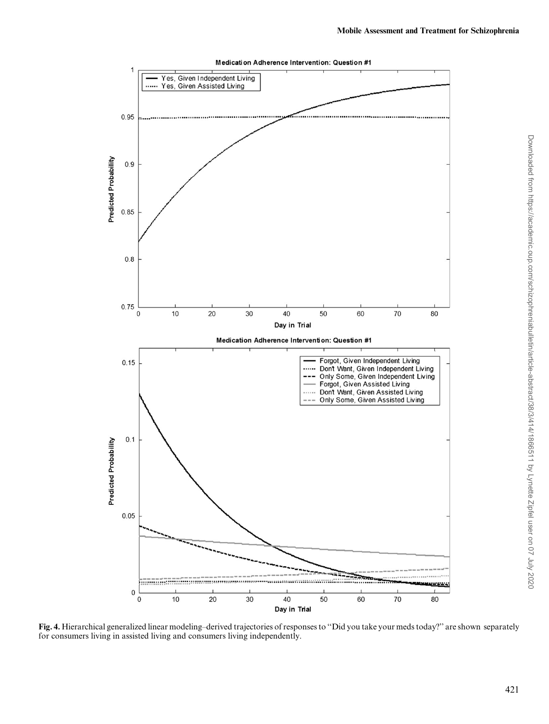<span id="page-7-0"></span>

Fig. 4. Hierarchical generalized linear modeling–derived trajectories of responses to "Did you take your meds today?" are shown separately for consumers living in assisted living and consumers living independently.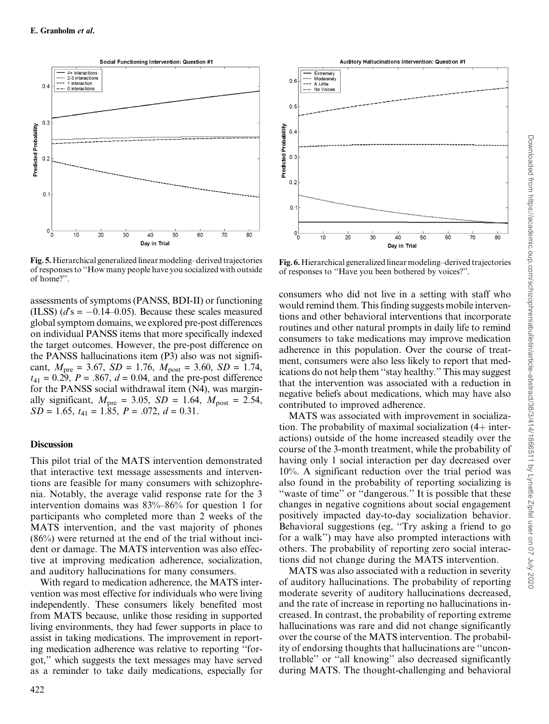<span id="page-8-0"></span>

Fig. 5.Hierarchical generalized linear modeling–derived trajectories of responses to ''How many people have you socialized with outside of home?''.

assessments of symptoms (PANSS, BDI-II) or functioning (ILSS)  $(d^s = -0.14-0.05)$ . Because these scales measured global symptom domains, we explored pre-post differences on individual PANSS items that more specifically indexed the target outcomes. However, the pre-post difference on the PANSS hallucinations item (P3) also was not significant,  $M_{\text{pre}} = 3.67$ ,  $SD = 1.76$ ,  $M_{\text{post}} = 3.60$ ,  $SD = 1.74$ ,  $t_{41} = 0.29, P = .867, d = 0.04,$  and the pre-post difference for the PANSS social withdrawal item (N4), was marginally significant,  $M_{\text{pre}} = 3.05$ ,  $SD = 1.64$ ,  $M_{\text{post}} = 2.54$ ,  $SD = 1.65$ ,  $t_{41} = 1.85$ ,  $P = .072$ ,  $d = 0.31$ .

#### **Discussion**

This pilot trial of the MATS intervention demonstrated that interactive text message assessments and interventions are feasible for many consumers with schizophrenia. Notably, the average valid response rate for the 3 intervention domains was 83%–86% for question 1 for participants who completed more than 2 weeks of the MATS intervention, and the vast majority of phones (86%) were returned at the end of the trial without incident or damage. The MATS intervention was also effective at improving medication adherence, socialization, and auditory hallucinations for many consumers.

With regard to medication adherence, the MATS intervention was most effective for individuals who were living independently. These consumers likely benefited most from MATS because, unlike those residing in supported living environments, they had fewer supports in place to assist in taking medications. The improvement in reporting medication adherence was relative to reporting ''forgot,'' which suggests the text messages may have served as a reminder to take daily medications, especially for



Fig. 6.Hierarchical generalized linear modeling–derived trajectories of responses to ''Have you been bothered by voices?''.

consumers who did not live in a setting with staff who would remind them. This finding suggests mobile interventions and other behavioral interventions that incorporate routines and other natural prompts in daily life to remind consumers to take medications may improve medication adherence in this population. Over the course of treatment, consumers were also less likely to report that medications do not help them ''stay healthy.'' This may suggest that the intervention was associated with a reduction in negative beliefs about medications, which may have also contributed to improved adherence.

MATS was associated with improvement in socialization. The probability of maximal socialization  $(4+)$  interactions) outside of the home increased steadily over the course of the 3-month treatment, while the probability of having only 1 social interaction per day decreased over 10%. A significant reduction over the trial period was also found in the probability of reporting socializing is "waste of time" or "dangerous." It is possible that these changes in negative cognitions about social engagement positively impacted day-to-day socialization behavior. Behavioral suggestions (eg, ''Try asking a friend to go for a walk'') may have also prompted interactions with others. The probability of reporting zero social interactions did not change during the MATS intervention.

MATS was also associated with a reduction in severity of auditory hallucinations. The probability of reporting moderate severity of auditory hallucinations decreased, and the rate of increase in reporting no hallucinations increased. In contrast, the probability of reporting extreme hallucinations was rare and did not change significantly over the course of the MATS intervention. The probability of endorsing thoughts that hallucinations are ''uncontrollable'' or ''all knowing'' also decreased significantly during MATS. The thought-challenging and behavioral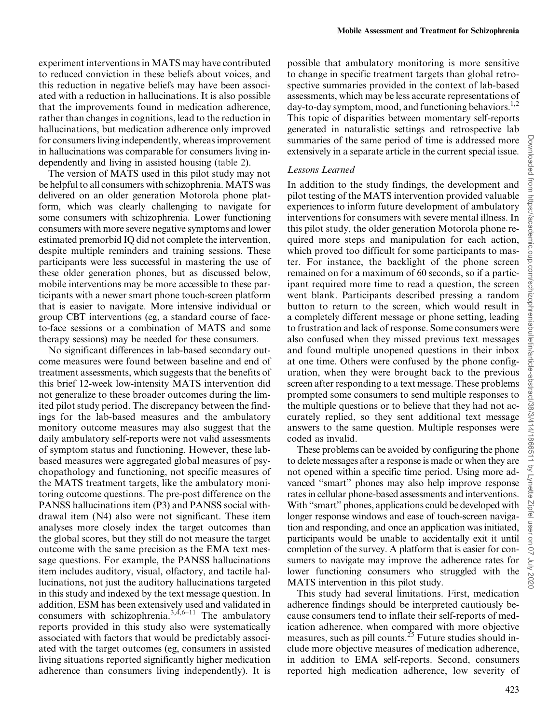experiment interventions in MATS may have contributed to reduced conviction in these beliefs about voices, and this reduction in negative beliefs may have been associated with a reduction in hallucinations. It is also possible that the improvements found in medication adherence, rather than changes in cognitions, lead to the reduction in hallucinations, but medication adherence only improved for consumers living independently, whereas improvement in hallucinations was comparable for consumers living independently and living in assisted housing ([table 2](#page-6-0)).

The version of MATS used in this pilot study may not be helpful to all consumers with schizophrenia. MATS was delivered on an older generation Motorola phone platform, which was clearly challenging to navigate for some consumers with schizophrenia. Lower functioning consumers with more severe negative symptoms and lower estimated premorbid IQ did not complete the intervention, despite multiple reminders and training sessions. These participants were less successful in mastering the use of these older generation phones, but as discussed below, mobile interventions may be more accessible to these participants with a newer smart phone touch-screen platform that is easier to navigate. More intensive individual or group CBT interventions (eg, a standard course of faceto-face sessions or a combination of MATS and some therapy sessions) may be needed for these consumers.

No significant differences in lab-based secondary outcome measures were found between baseline and end of treatment assessments, which suggests that the benefits of this brief 12-week low-intensity MATS intervention did not generalize to these broader outcomes during the limited pilot study period. The discrepancy between the findings for the lab-based measures and the ambulatory monitory outcome measures may also suggest that the daily ambulatory self-reports were not valid assessments of symptom status and functioning. However, these labbased measures were aggregated global measures of psychopathology and functioning, not specific measures of the MATS treatment targets, like the ambulatory monitoring outcome questions. The pre-post difference on the PANSS hallucinations item (P3) and PANSS social withdrawal item (N4) also were not significant. These item analyses more closely index the target outcomes than the global scores, but they still do not measure the target outcome with the same precision as the EMA text message questions. For example, the PANSS hallucinations item includes auditory, visual, olfactory, and tactile hallucinations, not just the auditory hallucinations targeted in this study and indexed by the text message question. In addition, ESM has been extensively used and validated in consumers with schizophrenia. $3,4,6-11$  The ambulatory reports provided in this study also were systematically associated with factors that would be predictably associated with the target outcomes (eg, consumers in assisted living situations reported significantly higher medication adherence than consumers living independently). It is possible that ambulatory monitoring is more sensitive to change in specific treatment targets than global retrospective summaries provided in the context of lab-based assessments, which may be less accurate representations of day-to-day symptom, mood, and functioning behaviors.<sup>1,2</sup> This topic of disparities between momentary self-reports generated in naturalistic settings and retrospective lab summaries of the same period of time is addressed more extensively in a separate article in the current special issue.

## Lessons Learned

In addition to the study findings, the development and pilot testing of the MATS intervention provided valuable experiences to inform future development of ambulatory interventions for consumers with severe mental illness. In this pilot study, the older generation Motorola phone required more steps and manipulation for each action, which proved too difficult for some participants to master. For instance, the backlight of the phone screen remained on for a maximum of 60 seconds, so if a participant required more time to read a question, the screen went blank. Participants described pressing a random button to return to the screen, which would result in a completely different message or phone setting, leading to frustration and lack of response. Some consumers were also confused when they missed previous text messages and found multiple unopened questions in their inbox at one time. Others were confused by the phone configuration, when they were brought back to the previous screen after responding to a text message. These problems prompted some consumers to send multiple responses to the multiple questions or to believe that they had not accurately replied, so they sent additional text message answers to the same question. Multiple responses were coded as invalid.

These problems can be avoided by configuring the phone to delete messages after a response is made or when they are not opened within a specific time period. Using more advanced ''smart'' phones may also help improve response rates in cellular phone-based assessments and interventions. With ''smart'' phones, applications could be developed with longer response windows and ease of touch-screen navigation and responding, and once an application was initiated, participants would be unable to accidentally exit it until completion of the survey. A platform that is easier for consumers to navigate may improve the adherence rates for lower functioning consumers who struggled with the MATS intervention in this pilot study.

This study had several limitations. First, medication adherence findings should be interpreted cautiously because consumers tend to inflate their self-reports of medication adherence, when compared with more objective measures, such as pill counts.<sup>[25](#page-11-0)</sup> Future studies should include more objective measures of medication adherence, in addition to EMA self-reports. Second, consumers reported high medication adherence, low severity of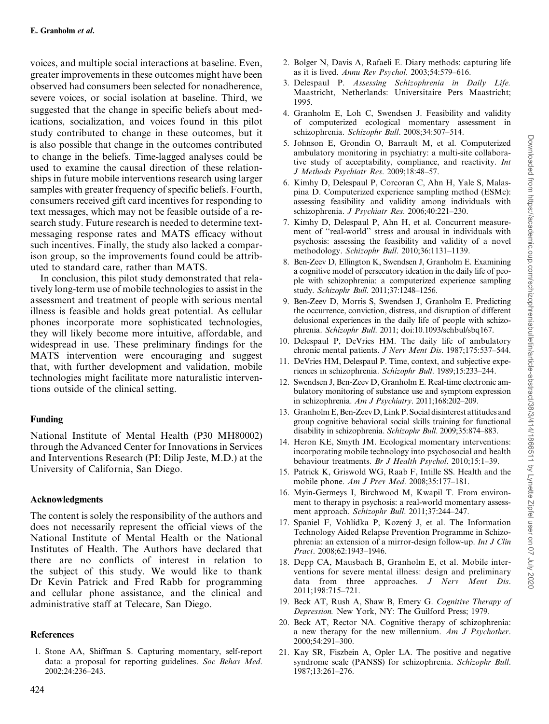<span id="page-10-0"></span>voices, and multiple social interactions at baseline. Even, greater improvements in these outcomes might have been observed had consumers been selected for nonadherence, severe voices, or social isolation at baseline. Third, we suggested that the change in specific beliefs about medications, socialization, and voices found in this pilot study contributed to change in these outcomes, but it is also possible that change in the outcomes contributed to change in the beliefs. Time-lagged analyses could be used to examine the causal direction of these relationships in future mobile interventions research using larger samples with greater frequency of specific beliefs. Fourth, consumers received gift card incentives for responding to text messages, which may not be feasible outside of a research study. Future research is needed to determine textmessaging response rates and MATS efficacy without such incentives. Finally, the study also lacked a comparison group, so the improvements found could be attributed to standard care, rather than MATS.

In conclusion, this pilot study demonstrated that relatively long-term use of mobile technologies to assist in the assessment and treatment of people with serious mental illness is feasible and holds great potential. As cellular phones incorporate more sophisticated technologies, they will likely become more intuitive, affordable, and widespread in use. These preliminary findings for the MATS intervention were encouraging and suggest that, with further development and validation, mobile technologies might facilitate more naturalistic interventions outside of the clinical setting.

## Funding

National Institute of Mental Health (P30 MH80002) through the Advanced Center for Innovations in Services and Interventions Research (PI: Dilip Jeste, M.D.) at the University of California, San Diego.

## Acknowledgments

The content is solely the responsibility of the authors and does not necessarily represent the official views of the National Institute of Mental Health or the National Institutes of Health. The Authors have declared that there are no conflicts of interest in relation to the subject of this study. We would like to thank Dr Kevin Patrick and Fred Rabb for programming and cellular phone assistance, and the clinical and administrative staff at Telecare, San Diego.

## References

1. Stone AA, Shiffman S. Capturing momentary, self-report data: a proposal for reporting guidelines. Soc Behav Med. 2002;24:236–243.

- 2. Bolger N, Davis A, Rafaeli E. Diary methods: capturing life as it is lived. Annu Rev Psychol. 2003;54:579–616.
- 3. Delespaul P. Assessing Schizophrenia in Daily Life. Maastricht, Netherlands: Universitaire Pers Maastricht; 1995.
- 4. Granholm E, Loh C, Swendsen J. Feasibility and validity of computerized ecological momentary assessment in schizophrenia. Schizophr Bull. 2008;34:507–514.
- 5. Johnson E, Grondin O, Barrault M, et al. Computerized ambulatory monitoring in psychiatry: a multi-site collaborative study of acceptability, compliance, and reactivity. Int J Methods Psychiatr Res. 2009;18:48–57.
- 6. Kimhy D, Delespaul P, Corcoran C, Ahn H, Yale S, Malaspina D. Computerized experience sampling method (ESMc): assessing feasibility and validity among individuals with schizophrenia. J Psychiatr Res. 2006;40:221–230.
- 7. Kimhy D, Delespaul P, Ahn H, et al. Concurrent measurement of ''real-world'' stress and arousal in individuals with psychosis: assessing the feasibility and validity of a novel methodology. Schizophr Bull. 2010;36:1131–1139.
- 8. Ben-Zeev D, Ellington K, Swendsen J, Granholm E. Examining a cognitive model of persecutory ideation in the daily life of people with schizophrenia: a computerized experience sampling study. Schizophr Bull. 2011;37:1248–1256.
- 9. Ben-Zeev D, Morris S, Swendsen J, Granholm E. Predicting the occurrence, conviction, distress, and disruption of different delusional experiences in the daily life of people with schizophrenia. Schizophr Bull. 2011; doi:10.1093/schbul/sbq167.
- 10. Delespaul P, DeVries HM. The daily life of ambulatory chronic mental patients. J Nerv Ment Dis. 1987;175:537–544.
- 11. DeVries HM, Delespaul P. Time, context, and subjective experiences in schizophrenia. Schizophr Bull. 1989;15:233–244.
- 12. Swendsen J, Ben-Zeev D, Granholm E. Real-time electronic ambulatory monitoring of substance use and symptom expression in schizophrenia. Am J Psychiatry. 2011;168:202–209.
- 13. Granholm E, Ben-Zeev D, Link P. Social disinterest attitudes and group cognitive behavioral social skills training for functional disability in schizophrenia. Schizophr Bull. 2009;35:874–883.
- 14. Heron KE, Smyth JM. Ecological momentary interventions: incorporating mobile technology into psychosocial and health behaviour treatments. Br J Health Psychol. 2010;15:1–39.
- 15. Patrick K, Griswold WG, Raab F, Intille SS. Health and the mobile phone. Am J Prev Med. 2008;35:177–181.
- 16. Myin-Germeys I, Birchwood M, Kwapil T. From environment to therapy in psychosis: a real-world momentary assessment approach. Schizophr Bull. 2011;37:244–247.
- 17. Spaniel F, Vohlídka P, Kozený J, et al. The Information Technology Aided Relapse Prevention Programme in Schizophrenia: an extension of a mirror-design follow-up. Int J Clin Pract. 2008;62:1943–1946.
- 18. Depp CA, Mausbach B, Granholm E, et al. Mobile interventions for severe mental illness: design and preliminary data from three approaches. J Nerv Ment Dis. 2011;198:715–721.
- 19. Beck AT, Rush A, Shaw B, Emery G. Cognitive Therapy of Depression. New York, NY: The Guilford Press; 1979.
- 20. Beck AT, Rector NA. Cognitive therapy of schizophrenia: a new therapy for the new millennium. Am J Psychother. 2000;54:291–300.
- 21. Kay SR, Fiszbein A, Opler LA. The positive and negative syndrome scale (PANSS) for schizophrenia. Schizophr Bull. 1987;13:261–276.